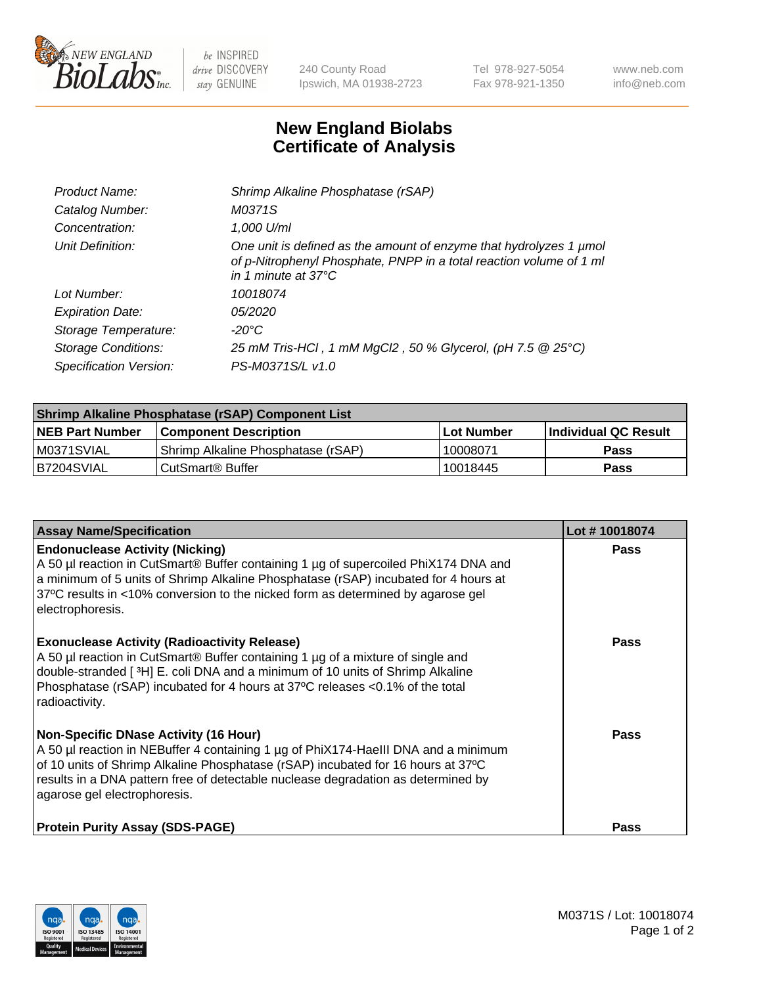

 $be$  INSPIRED drive DISCOVERY stay GENUINE

240 County Road Ipswich, MA 01938-2723 Tel 978-927-5054 Fax 978-921-1350 www.neb.com info@neb.com

## **New England Biolabs Certificate of Analysis**

| Product Name:              | Shrimp Alkaline Phosphatase (rSAP)                                                                                                                                         |
|----------------------------|----------------------------------------------------------------------------------------------------------------------------------------------------------------------------|
| Catalog Number:            | M0371S                                                                                                                                                                     |
| Concentration:             | 1,000 U/ml                                                                                                                                                                 |
| Unit Definition:           | One unit is defined as the amount of enzyme that hydrolyzes 1 µmol<br>of p-Nitrophenyl Phosphate, PNPP in a total reaction volume of 1 ml<br>in 1 minute at $37^{\circ}$ C |
| Lot Number:                | 10018074                                                                                                                                                                   |
| <b>Expiration Date:</b>    | <i>05/2020</i>                                                                                                                                                             |
| Storage Temperature:       | $-20^{\circ}$ C                                                                                                                                                            |
| <b>Storage Conditions:</b> | 25 mM Tris-HCl, 1 mM MgCl2, 50 % Glycerol, (pH 7.5 @ 25°C)                                                                                                                 |
| Specification Version:     | PS-M0371S/L v1.0                                                                                                                                                           |

| Shrimp Alkaline Phosphatase (rSAP) Component List |                                    |              |                      |  |
|---------------------------------------------------|------------------------------------|--------------|----------------------|--|
| <b>NEB Part Number</b>                            | <b>Component Description</b>       | l Lot Number | Individual QC Result |  |
| IM0371SVIAL                                       | Shrimp Alkaline Phosphatase (rSAP) | 10008071     | <b>Pass</b>          |  |
| B7204SVIAL                                        | CutSmart® Buffer                   | 10018445     | Pass                 |  |

| <b>Assay Name/Specification</b>                                                                                                                                                                                                                                                                                                             | Lot #10018074 |
|---------------------------------------------------------------------------------------------------------------------------------------------------------------------------------------------------------------------------------------------------------------------------------------------------------------------------------------------|---------------|
| <b>Endonuclease Activity (Nicking)</b><br>A 50 µl reaction in CutSmart® Buffer containing 1 µg of supercoiled PhiX174 DNA and<br>a minimum of 5 units of Shrimp Alkaline Phosphatase (rSAP) incubated for 4 hours at<br>37°C results in <10% conversion to the nicked form as determined by agarose gel<br>electrophoresis.                 | <b>Pass</b>   |
| <b>Exonuclease Activity (Radioactivity Release)</b><br>A 50 µl reaction in CutSmart® Buffer containing 1 µg of a mixture of single and<br>double-stranded [ <sup>3</sup> H] E. coli DNA and a minimum of 10 units of Shrimp Alkaline<br>Phosphatase (rSAP) incubated for 4 hours at 37°C releases <0.1% of the total<br>radioactivity.      | <b>Pass</b>   |
| <b>Non-Specific DNase Activity (16 Hour)</b><br>A 50 µl reaction in NEBuffer 4 containing 1 µg of PhiX174-HaellI DNA and a minimum<br>of 10 units of Shrimp Alkaline Phosphatase (rSAP) incubated for 16 hours at 37°C<br>results in a DNA pattern free of detectable nuclease degradation as determined by<br>agarose gel electrophoresis. | <b>Pass</b>   |
| <b>Protein Purity Assay (SDS-PAGE)</b>                                                                                                                                                                                                                                                                                                      | <b>Pass</b>   |